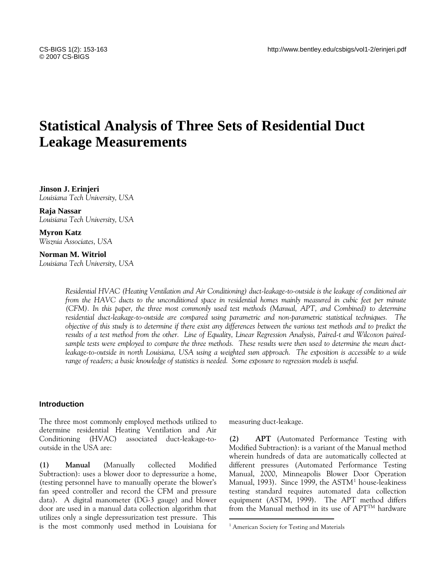# **Statistical Analysis of Three Sets of Residential Duct Leakage Measurements**

**Jinson J. Erinjeri**  *Louisiana Tech University, USA* 

**Raja Nassar**  *Louisiana Tech University, USA* 

**Myron Katz**  *Wisznia Associates, USA* 

**Norman M. Witriol**  *Louisiana Tech University, USA* 

> *Residential HVAC (Heating Ventilation and Air Conditioning) duct-leakage-to-outside is the leakage of conditioned air from the HAVC ducts to the unconditioned space in residential homes mainly measured in cubic feet per minute (CFM). In this paper, the three most commonly used test methods (Manual, APT, and Combined) to determine residential duct-leakage-to-outside are compared using parametric and non-parametric statistical techniques. The objective of this study is to determine if there exist any differences between the various test methods and to predict the results of a test method from the other. Line of Equality, Linear Regression Analysis, Paired-t and Wilcoxon pairedsample tests were employed to compare the three methods. These results were then used to determine the mean ductleakage-to-outside in north Louisiana, USA using a weighted sum approach. The exposition is accessible to a wide range of readers; a basic knowledge of statistics is needed. Some exposure to regression models is useful.*

> > $\overline{a}$

#### **Introduction**

The three most commonly employed methods utilized to determine residential Heating Ventilation and Air Conditioning (HVAC) associated duct-leakage-tooutside in the USA are:

<span id="page-0-0"></span>**(1) Manual** (Manually collected Modified Subtraction): uses a blower door to depressurize a home, (testing personnel have to manually operate the blower's fan speed controller and record the CFM and pressure data). A digital manometer (DG-3 gauge) and blower door are used in a manual data collection algorithm that utilizes only a single depressurization test pressure. This is the most commonly used method in Louisiana for measuring duct-leakage.

**(2) APT** (Automated Performance Testing with Modified Subtraction): is a variant of the Manual method wherein hundreds of data are automatically collected at different pressures (Automated Performance Testing Manual, 2000, Minneapolis Blower Door Operation Manual, [1](#page-0-0)993). Since 1999, the ASTM<sup>1</sup> house-leakiness testing standard requires automated data collection equipment (ASTM, 1999). The APT method differs from the Manual method in its use of  $APT^{TM}$  hardware

<sup>&</sup>lt;sup>1</sup> American Society for Testing and Materials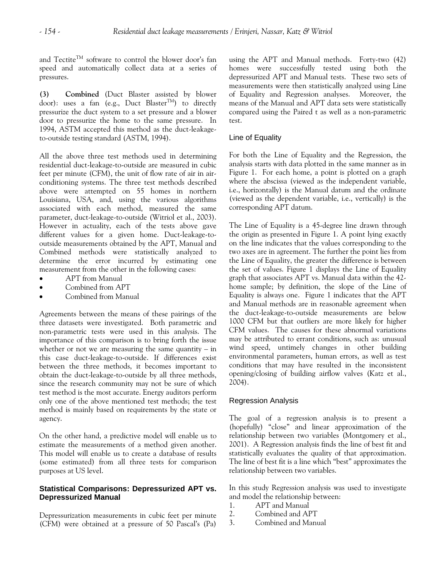and Tectite<sup>TM</sup> software to control the blower door's fan speed and automatically collect data at a series of pressures.

**(3) Combined** (Duct Blaster assisted by blower door): uses a fan (e.g., Duct Blaster<sup>TM</sup>) to directly pressurize the duct system to a set pressure and a blower door to pressurize the home to the same pressure. In 1994, ASTM accepted this method as the duct-leakageto-outside testing standard (ASTM, 1994).

All the above three test methods used in determining residential duct-leakage-to-outside are measured in cubic feet per minute (CFM), the unit of flow rate of air in airconditioning systems. The three test methods described above were attempted on 55 homes in northern Louisiana, USA, and, using the various algorithms associated with each method, measured the same parameter, duct-leakage-to-outside (Witriol et al., 2003). However in actuality, each of the tests above gave different values for a given home. Duct-leakage-tooutside measurements obtained by the APT, Manual and Combined methods were statistically analyzed to determine the error incurred by estimating one measurement from the other in the following cases:

- APT from Manual
- Combined from APT
- Combined from Manual

Agreements between the means of these pairings of the three datasets were investigated. Both parametric and non-parametric tests were used in this analysis. The importance of this comparison is to bring forth the issue whether or not we are measuring the same quantity  $-$  in this case duct-leakage-to-outside. If differences exist between the three methods, it becomes important to obtain the duct-leakage-to-outside by all three methods, since the research community may not be sure of which test method is the most accurate. Energy auditors perform only one of the above mentioned test methods; the test method is mainly based on requirements by the state or agency.

On the other hand, a predictive model will enable us to estimate the measurements of a method given another. This model will enable us to create a database of results (some estimated) from all three tests for comparison purposes at US level.

# **Statistical Comparisons: Depressurized APT vs. Depressurized Manual**

Depressurization measurements in cubic feet per minute (CFM) were obtained at a pressure of 50 Pascal's (Pa) using the APT and Manual methods. Forty-two (42) homes were successfully tested using both the depressurized APT and Manual tests. These two sets of measurements were then statistically analyzed using Line of Equality and Regression analyses. Moreover, the means of the Manual and APT data sets were statistically compared using the Paired t as well as a non-parametric test.

### Line of Equality

For both the Line of Equality and the Regression, the analysis starts with data plotted in the same manner as in Figure 1. For each home, a point is plotted on a graph where the abscissa (viewed as the independent variable, i.e., horizontally) is the Manual datum and the ordinate (viewed as the dependent variable, i.e., vertically) is the corresponding APT datum.

The Line of Equality is a 45-degree line drawn through the origin as presented in Figure 1. A point lying exactly on the line indicates that the values corresponding to the two axes are in agreement. The further the point lies from the Line of Equality, the greater the difference is between the set of values. Figure 1 displays the Line of Equality graph that associates APT vs. Manual data within the 42 home sample; by definition, the slope of the Line of Equality is always one. Figure 1 indicates that the APT and Manual methods are in reasonable agreement when the duct-leakage-to-outside measurements are below 1000 CFM but that outliers are more likely for higher CFM values. The causes for these abnormal variations may be attributed to errant conditions, such as: unusual wind speed, untimely changes in other building environmental parameters, human errors, as well as test conditions that may have resulted in the inconsistent opening/closing of building airflow valves (Katz et al., 2004).

#### Regression Analysis

The goal of a regression analysis is to present a (hopefully) "close" and linear approximation of the relationship between two variables (Montgomery et al., 2001). A Regression analysis finds the line of best fit and statistically evaluates the quality of that approximation. The line of best fit is a line which "best" approximates the relationship between two variables.

In this study Regression analysis was used to investigate and model the relationship between:

- 1. APT and Manual
- 2. Combined and APT
- 3. Combined and Manual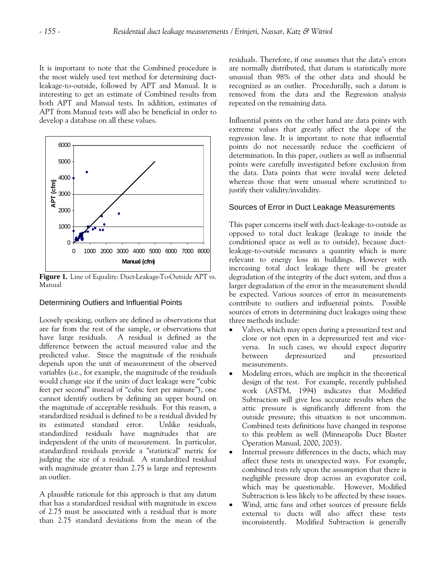It is important to note that the Combined procedure is the most widely used test method for determining ductleakage-to-outside, followed by APT and Manual. It is interesting to get an estimate of Combined results from both APT and Manual tests. In addition, estimates of APT from Manual tests will also be beneficial in order to develop a database on all these values.



**Figure 1.** Line of Equality: Duct-Leakage-To-Outside APT vs. Manual

# Determining Outliers and Influential Points

Loosely speaking, outliers are defined as observations that are far from the rest of the sample, or observations that have large residuals. A residual is defined as the difference between the actual measured value and the predicted value. Since the magnitude of the residuals depends upon the unit of measurement of the observed variables (i.e., for example, the magnitude of the residuals would change size if the units of duct leakage were "cubic feet per second" instead of "cubic feet per minute"), one cannot identify outliers by defining an upper bound on the magnitude of acceptable residuals. For this reason, a standardized residual is defined to be a residual divided by its estimated standard error. Unlike residuals, standardized residuals have magnitudes that are independent of the units of measurement. In particular, standardized residuals provide a "statistical'' metric for judging the size of a residual. A standardized residual with magnitude greater than 2.75 is large and represents an outlier.

A plausible rationale for this approach is that any datum that has a standardized residual with magnitude in excess of 2.75 must be associated with a residual that is more than 2.75 standard deviations from the mean of the

residuals. Therefore, if one assumes that the data's errors are normally distributed, that datum is statistically more unusual than 98% of the other data and should be recognized as an outlier. Procedurally, such a datum is removed from the data and the Regression analysis repeated on the remaining data.

Influential points on the other hand are data points with extreme values that greatly affect the [slope](http://stattrek.com/Help/Glossary.aspx?Target=slope) of the regression line. It is important to note that influential points do not necessarily reduce the coefficient of determination. In this paper, outliers as well as influential points were carefully investigated before exclusion from the data. Data points that were invalid were deleted whereas those that were unusual where scrutinized to justify their validity/invalidity.

# Sources of Error in Duct Leakage Measurements

This paper concerns itself with duct-leakage-to-outside as opposed to total duct leakage (leakage to inside the conditioned space as well as to outside), because ductleakage-to-outside measures a quantity which is more relevant to energy loss in buildings. However with increasing total duct leakage there will be greater degradation of the integrity of the duct system, and thus a larger degradation of the error in the measurement should be expected. Various sources of error in measurements contribute to outliers and influential points. Possible sources of errors in determining duct leakages using these three methods include:

- Valves, which may open during a pressurized test and close or not open in a depressurized test and viceversa. In such cases, we should expect disparity between depressurized and pressurized measurements.
- Modeling errors, which are implicit in the theoretical design of the test. For example, recently published work (ASTM, 1994) indicates that Modified Subtraction will give less accurate results when the attic pressure is significantly different from the outside pressure; this situation is not uncommon. Combined tests definitions have changed in response to this problem as well (Minneapolis Duct Blaster Operation Manual, 2000, 2003).
- Internal pressure differences in the ducts, which may affect these tests in unexpected ways. For example, combined tests rely upon the assumption that there is negligible pressure drop across an evaporator coil, which may be questionable. However, Modified Subtraction is less likely to be affected by these issues.
- Wind, attic fans and other sources of pressure fields external to ducts will also affect these tests inconsistently. Modified Subtraction is generally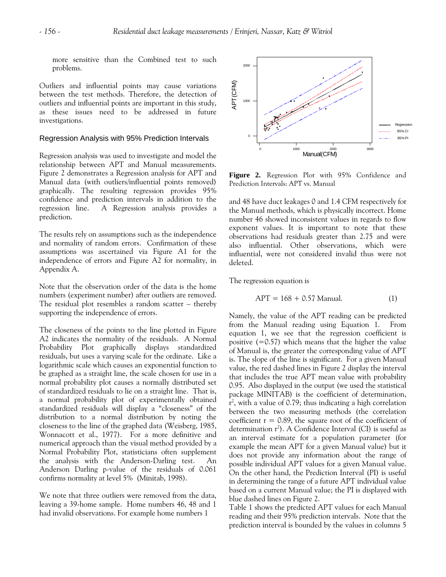more sensitive than the Combined test to such problems.

Outliers and influential points may cause variations between the test methods. Therefore, the detection of outliers and influential points are important in this study, as these issues need to be addressed in future investigations.

#### Regression Analysis with 95% Prediction Intervals

Regression analysis was used to investigate and model the relationship between APT and Manual measurements. Figure 2 demonstrates a Regression analysis for APT and Manual data (with outliers/influential points removed) graphically. The resulting regression provides 95% confidence and prediction intervals in addition to the regression line. A Regression analysis provides a prediction.

The results rely on assumptions such as the independence and normality of random errors. Confirmation of these assumptions was ascertained via Figure A1 for the independence of errors and Figure A2 for normality, in Appendix A.

Note that the observation order of the data is the home numbers (experiment number) after outliers are removed. The residual plot resembles a random scatter – thereby supporting the independence of errors.

The closeness of the points to the line plotted in Figure A2 indicates the normality of the residuals. A Normal Probability Plot graphically displays standardized residuals, but uses a varying scale for the ordinate. Like a logarithmic scale which causes an exponential function to be graphed as a straight line, the scale chosen for use in a normal probability plot causes a normally distributed set of standardized residuals to lie on a straight line. That is, a normal probability plot of experimentally obtained standardized residuals will display a "closeness" of the distribution to a normal distribution by noting the closeness to the line of the graphed data (Weisberg, 1985, Wonnacott et al., 1977). For a more definitive and numerical approach than the visual method provided by a Normal Probability Plot, statisticians often supplement the analysis with the Anderson-Darling test. An Anderson Darling p-value of the residuals of 0.061 confirms normality at level 5% (Minitab, 1998).

We note that three outliers were removed from the data, leaving a 39-home sample. Home numbers 46, 48 and 1 had invalid observations. For example home numbers 1



**Figure 2.** Regression Plot with 95% Confidence and Prediction Intervals: APT vs. Manual

and 48 have duct leakages 0 and 1.4 CFM respectively for the Manual methods, which is physically incorrect. Home number 46 showed inconsistent values in regards to flow exponent values. It is important to note that these observations had residuals greater than 2.75 and were also influential. Other observations, which were influential, were not considered invalid thus were not deleted.

The regression equation is

$$
APT = 168 + 0.57 \text{ Manual.} \tag{1}
$$

Namely, the value of the APT reading can be predicted from the Manual reading using Equation 1. From equation 1, we see that the regression coefficient is positive  $(=0.57)$  which means that the higher the value of Manual is, the greater the corresponding value of APT is. The slope of the line is significant. For a given Manual value, the red dashed lines in Figure 2 display the interval that includes the true APT mean value with probability 0.95. Also displayed in the output (we used the statistical package MINITAB) is the coefficient of determination,  $r^2$ , with a value of 0.79; thus indicating a high correlation between the two measuring methods (the correlation coefficient  $r = 0.89$ , the square root of the coefficient of determination  $r^2$ ). A Confidence Interval (CI) is useful as an interval estimate for a population parameter (for example the mean APT for a given Manual value) but it does not provide any information about the range of possible individual APT values for a given Manual value. On the other hand, the Prediction Interval (PI) is useful in determining the range of a future APT individual value based on a current Manual value; the PI is displayed with blue dashed lines on Figure 2.

Table 1 shows the predicted APT values for each Manual reading and their 95% prediction intervals. Note that the prediction interval is bounded by the values in columns 5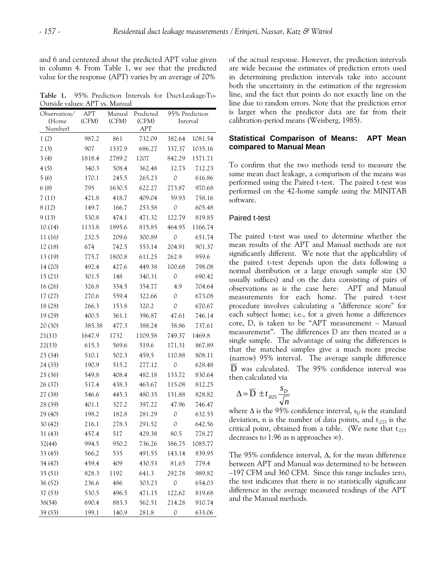and 6 and centered about the predicted APT value given in column 4. From Table 1, we see that the predicted value for the response (APT) varies by an average of 20%

**Table 1.** 95% Prediction Intervals for Duct-Leakage-To-Outside values: APT vs. Manual

| Observation/ | <b>APT</b> | Manual | Predicted | 95% Prediction |         |
|--------------|------------|--------|-----------|----------------|---------|
| (Home        | (CFM)      | (CFM)  | (CFM)     | Interval       |         |
| Number)      |            |        | APT       |                |         |
| 1(2)         | 987.2      | 861    | 732.09    | 382.64         | 1081.54 |
| 2(3)         | 907        | 1337.9 | 686.27    | 337.37         | 1035.16 |
| 3(4)         | 1818.4     | 2789.2 | 1207      | 842.29         | 1571.71 |
| 4(5)         | 340.3      | 508.4  | 362.48    | 12.73          | 712.23  |
| 5(6)         | 170.1      | 245.5  | 265.23    | 0              | 616.86  |
| 6(8)         | 795        | 1630.5 | 622.27    | 273.87         | 970.68  |
| 7(11)        | 421.8      | 418.7  | 409.04    | 59.93          | 758.16  |
| 8(12)        | 149.7      | 166.7  | 253.58    | 0              | 605.48  |
| 9(13)        | 530.8      | 474.1  | 471.32    | 122.79         | 819.85  |
| 10(14)       | 1133.8     | 1895.6 | 815.85    | 464.95         | 1166.74 |
| 11 (16)      | 232.5      | 209.6  | 300.89    | $\mathcal{O}$  | 651.74  |
| 12 (18)      | 674        | 742.5  | 553.14    | 204.91         | 901.37  |
| 13 (19)      | 775.7      | 1800.8 | 611.25    | 262.9          | 959.6   |
| 14 (20)      | 492.4      | 427.6  | 449.38    | 100.68         | 798.08  |
| 15(21)       | 301.5      | 148    | 340.31    | $\mathbf 0$    | 690.42  |
| 16 (26)      | 326.8      | 354.5  | 354.77    | 4.9            | 704.64  |
| 17 (27)      | 270.6      | 559.4  | 322.66    | 0              | 673.08  |
| 18 (28)      | 266.3      | 153.8  | 320.2     | $\mathbf 0$    | 670.67  |
| 19 (29)      | 400.5      | 361.1  | 396.87    | 47.61          | 746.14  |
| 20 (30)      | 385.38     | 477.3  | 388.24    | 38.86          | 737.61  |
| 21(31)       | 1647.9     | 1732   | 1109.58   | 749.37         | 1469.8  |
| 22(33)       | 615.3      | 569.6  | 519.6     | 171.31         | 867.89  |
| 23 (34)      | 510.1      | 502.3  | 459.5     | 110.88         | 808.11  |
| 24 (35)      | 190.9      | 515.2  | 277.12    | $\mathcal{O}$  | 628.48  |
| 25 (36)      | 549.8      | 408.4  | 482.18    | 133.72         | 830.64  |
| 26 (37)      | 517.4      | 438.3  | 463.67    | 115.08         | 812.25  |
| 27 (38)      | 546.6      | 445.3  | 480.35    | 131.88         | 828.82  |
| 28 (39)      | 401.1      | 327.2  | 397.22    | 47.96          | 746.47  |
| 29 (40)      | 198.2      | 182.8  | 281.29    | $\mathcal{O}$  | 632.55  |
| 30 (42)      | 216.1      | 278.3  | 291.52    | $\mathbf{O}$   | 642.56  |
| 31 (43)      | 457.4      | 517    | 429.38    | 80.5           | 778.27  |
| 32(44)       | 994.5      | 950.2  | 736.26    | 386.75         | 1085.77 |
| 33 (45)      | 566.2      | 535    | 491.55    | 143.14         | 839.95  |
| 34 (47)      | 459.4      | 409    | 430.53    | 81.65          | 779.4   |
| 35 (51)      | 828.3      | 1192   | 641.3     | 292.78         | 989.82  |
| 36 (52)      | 236.6      | 486    | 303.23    | 0              | 654.03  |
| 37 (53)      | 530.5      | 496.5  | 471.15    | 122.62         | 819.68  |
| 38(54)       | 690.4      | 883.3  | 562.51    | 214.28         | 910.74  |
| 39 (55)      | 199.1      | 140.9  | 281.8     | 0              | 633.06  |

of the actual response. However, the prediction intervals are wide because the estimates of prediction errors used in determining prediction intervals take into account both the uncertainty in the estimation of the regression line, and the fact that points do not exactly line on the line due to random errors. Note that the prediction error is larger when the predictor data are far from their calibration-period means (Weisberg, 1985).

#### **Statistical Comparison of Means: APT Mean compared to Manual Mean**

To confirm that the two methods tend to measure the same mean duct leakage, a comparison of the means was performed using the Paired t-test. The paired t-test was performed on the 42-home sample using the MINITAB software.

#### Paired t-test

The paired t-test was used to determine whether the mean results of the APT and Manual methods are not significantly different. We note that the applicability of the paired t-test depends upon the data following a normal distribution or a large enough sample size (30 usually suffices) and on the data consisting of pairs of observations as is the case here: APT and Manual measurements for each home. The paired t-test procedure involves calculating a "difference score" for each subject home; i.e., for a given home a differences core, D, is taken to be "APT measurement – Manual measurement". The differences D are then treated as a single sample. The advantage of using the differences is that the matched samples give a much more precise (narrow) 95% interval. The average sample difference D was calculated. The 95% confidence interval was then calculated via

$$
\Delta = \overline{D} \pm t_{.025} \frac{s_D}{\sqrt{n}}
$$

where  $\Delta$  is the 95% confidence interval,  $s<sub>D</sub>$  is the standard deviation, n is the number of data points, and  $t_{.025}$  is the critical point, obtained from a table. (We note that  $t_{.025}$ decreases to 1.96 as n approaches  $\infty$ ).

The 95% confidence interval, Δ, for the mean difference between APT and Manual was determined to be between –197 CFM and 360 CFM. Since this range includes zero, the test indicates that there is no statistically significant difference in the average measured readings of the APT and the Manual methods.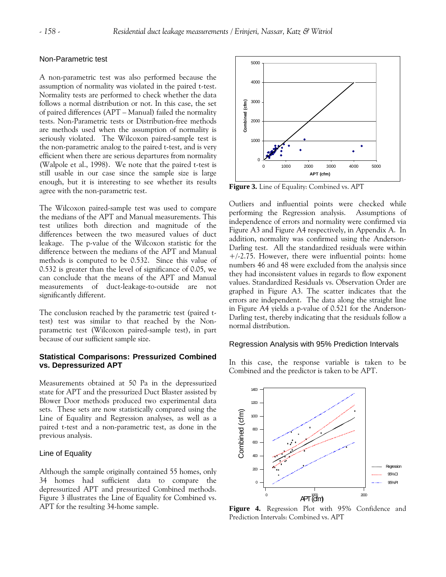#### Non-Parametric test

A non-parametric test was also performed because the assumption of normality was violated in the paired t-test. Normality tests are performed to check whether the data follows a normal distribution or not. In this case, the set of paired differences (APT – Manual) failed the normality tests. Non-Parametric tests or Distribution-free methods are methods used when the assumption of normality is seriously violated. The Wilcoxon paired-sample test is the non-parametric analog to the paired t-test, and is very efficient when there are serious departures from normality (Walpole et al., 1998). We note that the paired t-test is still usable in our case since the sample size is large enough, but it is interesting to see whether its results agree with the non-parametric test. **Figure 3.** Line of Equality: Combined vs. APT

The Wilcoxon paired-sample test was used to compare the medians of the APT and Manual measurements. This test utilizes both direction and magnitude of the differences between the two measured values of duct leakage. The p-value of the Wilcoxon statistic for the difference between the medians of the APT and Manual methods is computed to be 0.532. Since this value of 0.532 is greater than the level of significance of 0.05, we can conclude that the means of the APT and Manual measurements of duct-leakage-to-outside are not significantly different.

The conclusion reached by the parametric test (paired ttest) test was similar to that reached by the Nonparametric test (Wilcoxon paired-sample test), in part because of our sufficient sample size.

#### **Statistical Comparisons: Pressurized Combined vs. Depressurized APT**

Measurements obtained at 50 Pa in the depressurized state for APT and the pressurized Duct Blaster assisted by Blower Door methods produced two experimental data sets. These sets are now statistically compared using the Line of Equality and Regression analyses, as well as a paired t-test and a non-parametric test, as done in the previous analysis.

#### Line of Equality

Although the sample originally contained 55 homes, only 34 homes had sufficient data to compare the depressurized APT and pressurized Combined methods. Figure 3 illustrates the Line of Equality for Combined vs. APT for the resulting 34-home sample.



Outliers and influential points were checked while performing the Regression analysis. Assumptions of independence of errors and normality were confirmed via Figure A3 and Figure A4 respectively, in Appendix A. In addition, normality was confirmed using the Anderson-Darling test. All the standardized residuals were within +/-2.75. However, there were influential points: home numbers 46 and 48 were excluded from the analysis since they had inconsistent values in regards to flow exponent values. Standardized Residuals vs. Observation Order are graphed in Figure A3. The scatter indicates that the errors are independent. The data along the straight line in Figure A4 yields a p-value of 0.521 for the Anderson-Darling test, thereby indicating that the residuals follow a normal distribution.

#### Regression Analysis with 95% Prediction Intervals

In this case, the response variable is taken to be Combined and the predictor is taken to be APT.



**Figure 4.** Regression Plot with 95% Confidence and Prediction Intervals: Combined vs. APT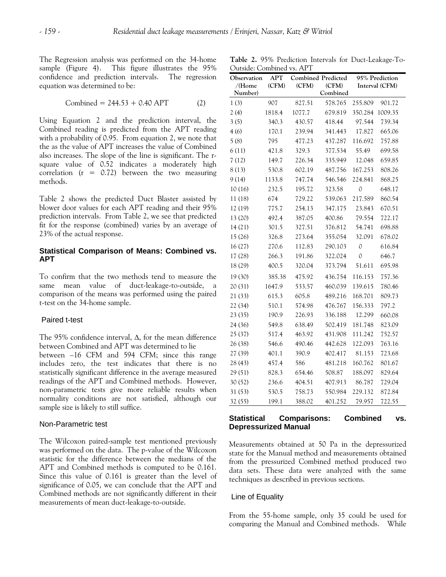The Regression analysis was performed on the 34-home sample (Figure 4). This figure illustrates the 95% confidence and prediction intervals. The regression equation was determined to be:

$$
Combined = 244.53 + 0.40 \, \text{APT} \tag{2}
$$

Using Equation 2 and the prediction interval, the Combined reading is predicted from the APT reading with a probability of 0.95. From equation 2, we note that the as the value of APT increases the value of Combined also increases. The slope of the line is significant. The rsquare value of 0.52 indicates a moderately high correlation  $(r = 0.72)$  between the two measuring methods.

Table 2 shows the predicted Duct Blaster assisted by blower door values for each APT reading and their 95% prediction intervals. From Table 2, we see that predicted fit for the response (combined) varies by an average of 23% of the actual response.

#### **Statistical Comparison of Means: Combined vs. APT**

To confirm that the two methods tend to measure the same mean value of duct-leakage-to-outside, a comparison of the means was performed using the paired t-test on the 34-home sample.

#### Paired t-test

The 95% confidence interval, Δ, for the mean difference between Combined and APT was determined to lie

between –16 CFM and 594 CFM; since this range includes zero, the test indicates that there is no statistically significant difference in the average measured readings of the APT and Combined methods. However, non-parametric tests give more reliable results when normality conditions are not satisfied, although our sample size is likely to still suffice.

#### Non-Parametric test

The Wilcoxon paired-sample test mentioned previously was performed on the data. The p-value of the Wilcoxon statistic for the difference between the medians of the APT and Combined methods is computed to be 0.161. Since this value of 0.161 is greater than the level of significance of 0.05, we can conclude that the APT and Combined methods are not significantly different in their measurements of mean duct-leakage-to-outside.

**Table 2.** 95% Prediction Intervals for Duct-Leakage-To-Outside: Combined vs. APT

| Observation | APT    | <b>Combined Predicted</b> |          | 95% Prediction |                |
|-------------|--------|---------------------------|----------|----------------|----------------|
| $/$ (Home   | (CFM)  | (CFM)                     | (CFM)    |                | Interval (CFM) |
| Number)     |        |                           | Combined |                |                |
| 1(3)        | 907    | 827.51                    | 578.765  | 255.809        | 901.72         |
| 2(4)        | 1818.4 | 1077.7                    | 679.819  | 350.284        | 1009.35        |
| 3(5)        | 340.3  | 430.57                    | 418.44   | 97.544         | 739.34         |
| 4(6)        | 170.1  | 239.94                    | 341.443  | 17.827         | 665.06         |
| 5(8)        | 795    | 477.23                    | 437.287  | 116.692        | 757.88         |
| 6(11)       | 421.8  | 329.3                     | 377.534  | 55.49          | 699.58         |
| 7(12)       | 149.7  | 226.34                    | 335.949  | 12.048         | 659.85         |
| 8(13)       | 530.8  | 602.19                    | 487.756  | 167.253        | 808.26         |
| 9(14)       | 1133.8 | 747.74                    | 546.546  | 224.841        | 868.25         |
| 10(16)      | 232.5  | 195.72                    | 323.58   | 0              | 648.17         |
| 11 (18)     | 674    | 729.22                    | 539.063  | 217.589        | 860.54         |
| 12 (19)     | 775.7  | 254.13                    | 347.175  | 23.843         | 670.51         |
| 13 (20)     | 492.4  | 387.05                    | 400.86   | 79.554         | 722.17         |
| 14(21)      | 301.5  | 327.51                    | 376.812  | 54.741         | 698.88         |
| 15(26)      | 326.8  | 273.64                    | 355.054  | 32.091         | 678.02         |
| 16(27)      | 270.6  | 112.83                    | 290.103  | $\Omega$       | 616.84         |
| 17 (28)     | 266.3  | 191.86                    | 322.024  | $\Omega$       | 646.7          |
| 18 (29)     | 400.5  | 320.04                    | 373.794  | 51.611         | 695.98         |
| 19 (30)     | 385.38 | 475.92                    | 436.754  | 116.153        | 757.36         |
| 20 (31)     | 1647.9 | 533.57                    | 460.039  | 139.615        | 780.46         |
| 21 (33)     | 615.3  | 605.8                     | 489.216  | 168.701        | 809.73         |
| 22 (34)     | 510.1  | 574.98                    | 476.767  | 156.333        | 797.2          |
| 23 (35)     | 190.9  | 226.93                    | 336.188  | 12.299         | 660.08         |
| 24 (36)     | 549.8  | 638.49                    | 502.419  | 181.748        | 823.09         |
| 25 (37)     | 517.4  | 463.92                    | 431.908  | 111.242        | 752.57         |
| 26 (38)     | 546.6  | 490.46                    | 442.628  | 122.093        | 763.16         |
| 27 (39)     | 401.1  | 390.9                     | 402.417  | 81.153         | 723.68         |
| 28 (43)     | 457.4  | 586                       | 481.218  | 160.762        | 801.67         |
| 29 (51)     | 828.3  | 654.46                    | 508.87   | 188.097        | 829.64         |
| 30 (52)     | 236.6  | 404.51                    | 407.913  | 86.787         | 729.04         |
| 31 (53)     | 530.5  | 758.73                    | 550.984  | 229.132        | 872.84         |
| 32 (55)     | 199.1  | 388.02                    | 401.252  | 79.957         | 722.55         |

#### **Statistical Comparisons: Combined vs. Depressurized Manual**

Measurements obtained at 50 Pa in the depressurized state for the Manual method and measurements obtained from the pressurized Combined method produced two data sets. These data were analyzed with the same techniques as described in previous sections.

#### Line of Equality

From the 55-home sample, only 35 could be used for comparing the Manual and Combined methods. While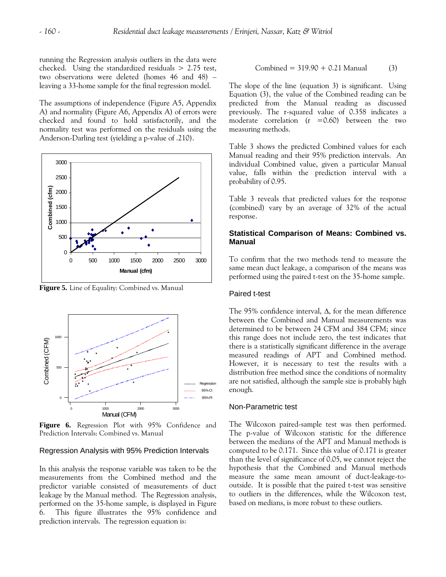running the Regression analysis outliers in the data were checked. Using the standardized residuals  $> 2.75$  test, two observations were deleted (homes 46 and 48) – leaving a 33-home sample for the final regression model.

The assumptions of independence (Figure A5, Appendix A) and normality (Figure A6, Appendix A) of errors were checked and found to hold satisfactorily, and the normality test was performed on the residuals using the Anderson-Darling test (yielding a p-value of .210).



 **Figure 5.** Line of Equality: Combined vs. Manual



**Figure 6.** Regression Plot with 95% Confidence and Prediction Intervals: Combined vs. Manual

#### Regression Analysis with 95% Prediction Intervals

In this analysis the response variable was taken to be the measurements from the Combined method and the predictor variable consisted of measurements of duct leakage by the Manual method. The Regression analysis, performed on the 35-home sample, is displayed in Figure 6. This figure illustrates the 95% confidence and prediction intervals. The regression equation is:

Combined = 
$$
319.90 + 0.21
$$
 Manual (3)

The slope of the line (equation 3) is significant. Using Equation (3), the value of the Combined reading can be predicted from the Manual reading as discussed previously. The r-squared value of 0.358 indicates a moderate correlation  $(r = 0.60)$  between the two measuring methods.

Table 3 shows the predicted Combined values for each Manual reading and their 95% prediction intervals. An individual Combined value, given a particular Manual value, falls within the prediction interval with a probability of 0.95.

Table 3 reveals that predicted values for the response (combined) vary by an average of 32% of the actual response.

#### **Statistical Comparison of Means: Combined vs. Manual**

To confirm that the two methods tend to measure the same mean duct leakage, a comparison of the means was performed using the paired t-test on the 35-home sample.

#### Paired t-test

The 95% confidence interval, Δ, for the mean difference between the Combined and Manual measurements was determined to be between 24 CFM and 384 CFM; since this range does not include zero, the test indicates that there is a statistically significant difference in the average measured readings of APT and Combined method. However, it is necessary to test the results with a distribution free method since the conditions of normality are not satisfied, although the sample size is probably high enough*.* 

#### Non-Parametric test

The Wilcoxon paired-sample test was then performed. The p-value of Wilcoxon statistic for the difference between the medians of the APT and Manual methods is computed to be 0.171. Since this value of 0.171 is greater than the level of significance of 0.05, we cannot reject the hypothesis that the Combined and Manual methods measure the same mean amount of duct-leakage-tooutside. It is possible that the paired t-test was sensitive to outliers in the differences, while the Wilcoxon test, based on medians, is more robust to these outliers.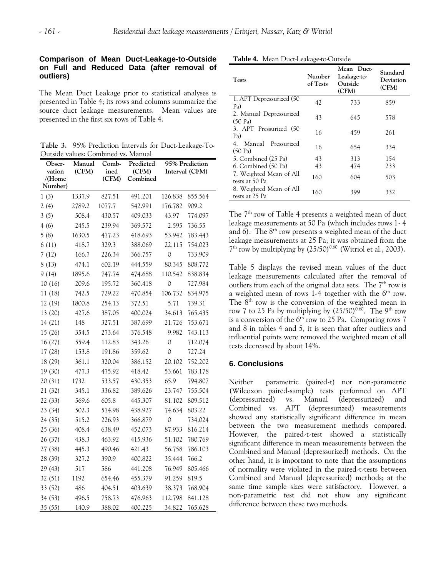## **Comparison of Mean Duct-Leakage-to-Outside on Full and Reduced Data (after removal of outliers)**

The Mean Duct Leakage prior to statistical analyses is presented in Table 4; its rows and columns summarize the source duct leakage measurements. Mean values are presented in the first six rows of Table 4.

**Table 3.** 95% Prediction Intervals for Duct-Leakage-To-Outside values: Combined vs. Manual

| Obser-           | Manual | Comb-         | Predicted         | 95% Prediction |                |
|------------------|--------|---------------|-------------------|----------------|----------------|
| vation<br>/(Home | (CFM)  | ined<br>(CFM) | (CFM)<br>Combined |                | Interval (CFM) |
| Number)          |        |               |                   |                |                |
| 1(3)             | 1337.9 | 827.51        | 491.201           | 126.838        | 855.564        |
| 2(4)             | 2789.2 | 1077.7        | 542.991           | 176.782        | 909.2          |
| 3(5)             | 508.4  | 430.57        | 409.033           | 43.97          | 774.097        |
| 4(6)             | 245.5  | 239.94        | 369.572           | 2.595          | 736.55         |
| 5(8)             | 1630.5 | 477.23        | 418.693           | 53.942         | 783.443        |
| 6(11)            | 418.7  | 329.3         | 388.069           | 22.115         | 754.023        |
| 7(12)            | 166.7  | 226.34        | 366.757           | 0              | 733.909        |
| 8(13)            | 474.1  | 602.19        | 444.559           | 80.345         | 808.772        |
| 9(14)            | 1895.6 | 747.74        | 474.688           | 110.542        | 838.834        |
| 10(16)           | 209.6  | 195.72        | 360.418           | 0              | 727.984        |
| 11 (18)          | 742.5  | 729.22        | 470.854           | 106.732        | 834.975        |
| 12 (19)          | 1800.8 | 254.13        | 372.51            | 5.71           | 739.31         |
| 13 (20)          | 427.6  | 387.05        | 400.024           | 34.613         | 765.435        |
| 14(21)           | 148    | 327.51        | 387.699           | 21.726         | 753.671        |
| 15 (26)          | 354.5  | 273.64        | 376.548           | 9.982          | 743.113        |
| 16 (27)          | 559.4  | 112.83        | 343.26            | 0              | 712.074        |
| 17 (28)          | 153.8  | 191.86        | 359.62            | $\Omega$       | 727.24         |
| 18 (29)          | 361.1  | 320.04        | 386.152           | 20.102         | 752.202        |
| 19 (30)          | 477.3  | 475.92        | 418.42            | 53.661         | 783.178        |
| 20 (31)          | 1732   | 533.57        | 430.353           | 65.9           | 794.807        |
| 21 (32)          | 345.1  | 336.82        | 389.626           | 23.747         | 755.504        |
| 22 (33)          | 569.6  | 605.8         | 445.307           | 81.102         | 809.512        |
| 23 (34)          | 502.3  | 574.98        | 438.927           | 74.634         | 803.22         |
| 24 (35)          | 515.2  | 226.93        | 366.879           | 0              | 734.024        |
| 25 (36)          | 408.4  | 638.49        | 452.073           | 87.933         | 816.214        |
| 26 (37)          | 438.3  | 463.92        | 415.936           | 51.102         | 780.769        |
| 27 (38)          | 445.3  | 490.46        | 421.43            | 56.758         | 786.103        |
| 28 (39)          | 327.2  | 390.9         | 400.822           | 35.444         | 766.2          |
| 29 (43)          | 517    | 586           | 441.208           | 76.949         | 805.466        |
| 32 (51)          | 1192   | 654.46        | 455.379           | 91.259         | 819.5          |
| 33 (52)          | 486    | 404.51        | 403.639           | 38.373         | 768.904        |
| 34 (53)          | 496.5  | 758.73        | 476.963           | 112.798        | 841.128        |
| 35 (55)          | 140.9  | 388.02        | 400.225           | 34.822         | 765.628        |

|  | Table 4. Mean Duct-Leakage-to-Outside |  |
|--|---------------------------------------|--|
|--|---------------------------------------|--|

| <b>Tests</b>                                  | Number<br>of Tests | Mean Duct-<br>Leakage-to-<br>Outside<br>(CFM) | Standard<br>Deviation<br>(CFM) |
|-----------------------------------------------|--------------------|-----------------------------------------------|--------------------------------|
| 1. APT Depressurized (50)<br>Pa)              | 42                 | 733                                           | 859                            |
| 2. Manual Depressurized<br>$(50 \text{ Pa})$  | 43                 | 645                                           | 578                            |
| 3. APT Pressurized (50<br>Pa)                 | 16                 | 459                                           | 261                            |
| Manual Pressurized<br>4.<br>$(50 \text{ Pa})$ | 16                 | 654                                           | 334                            |
| 5. Combined (25 Pa)                           | 43                 | 313                                           | 154                            |
| 6. Combined (50 Pa)                           | 43                 | 474                                           | 233                            |
| 7. Weighted Mean of All<br>tests at 50 Pa     | 160                | 604                                           | 503                            |
| 8. Weighted Mean of All<br>tests at 25 Pa     | 160                | 399                                           | 332                            |

The 7<sup>th</sup> row of Table 4 presents a weighted mean of duct leakage measurements at 50 Pa (which includes rows 1- 4 and  $6$ ). The  $8<sup>th</sup>$  row presents a weighted mean of the duct leakage measurements at 25 Pa; it was obtained from the  $7<sup>th</sup>$  row by multiplying by  $(25/50)^{0.60}$  (Witriol et al., 2003).

Table 5 displays the revised mean values of the duct leakage measurements calculated after the removal of outliers from each of the original data sets. The  $7<sup>th</sup>$  row is a weighted mean of rows 1-4 together with the  $6<sup>th</sup>$  row. The 8<sup>th</sup> row is the conversion of the weighted mean in row 7 to 25 Pa by multiplying by  $(25/50)^{0.60}$ . The 9<sup>th</sup> row is a conversion of the  $6<sup>th</sup>$  row to 25 Pa. Comparing rows 7 and 8 in tables 4 and 5, it is seen that after outliers and influential points were removed the weighted mean of all tests decreased by about 14%.

# **6. Conclusions**

Neither parametric (paired-t) nor non-parametric (Wilcoxon paired-sample) tests performed on APT (depressurized) vs. Manual (depressurized) and Combined vs. APT (depressurized) measurements showed any statistically significant difference in mean between the two measurement methods compared. However, the paired-t-test showed a statistically significant difference in mean measurements between the Combined and Manual (depressurized) methods. On the other hand, it is important to note that the assumptions of normality were violated in the paired-t-tests between Combined and Manual (depressurized) methods; at the same time sample sizes were satisfactory. However, a non-parametric test did not show any significant difference between these two methods.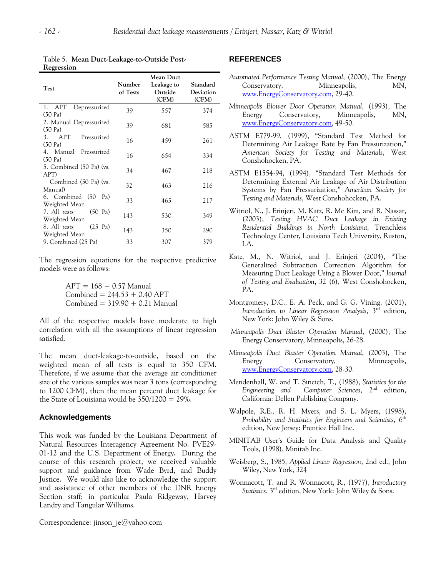| Test                                                   | Number<br>of Tests | <b>Mean Duct</b><br>Leakage to<br>Outside<br>(CFM) | Standard<br>Deviation<br>(CFM) |
|--------------------------------------------------------|--------------------|----------------------------------------------------|--------------------------------|
| APT<br>Depressurized<br>$(50 \text{ Pa})$              | 39                 | 557                                                | 374                            |
| 2. Manual Depressurized<br>$(50 \text{ Pa})$           | 39                 | 681                                                | 585                            |
| APT Pressurized<br>3 <sub>1</sub><br>$(50 \text{ Pa})$ | 16                 | 459                                                | 261                            |
| 4. Manual Pressurized<br>$(50 \text{ Pa})$             | 16                 | 654                                                | 334                            |
| 5. Combined (50 Pa) (vs.<br>APT)                       | 34                 | 467                                                | 218                            |
| Combined (50 Pa) (vs.<br>Manual)                       | 32                 | 463                                                | 216                            |
| 6. Combined (50<br>Pa)<br>Weighted Mean                | 33                 | 465                                                | 217                            |
| $(50 \text{ Pa})$<br>7. All tests<br>Weighted Mean     | 143                | 530                                                | 349                            |
| $(25 \text{ Pa})$<br>8. All tests<br>Weighted Mean     | 143                | 350                                                | 290                            |
| 9. Combined (25 Pa)                                    | 33                 | 307                                                | 379                            |

Table 5. **Mean Duct-Leakage-to-Outside Post-Regression**

The regression equations for the respective predictive models were as follows:

> $APT = 168 + 0.57$  Manual  $Combined = 244.53 + 0.40 APT$  $Combined = 319.90 + 0.21$  Manual

All of the respective models have moderate to high correlation with all the assumptions of linear regression satisfied.

The mean duct-leakage-to-outside, based on the weighted mean of all tests is equal to 350 CFM. Therefore, if we assume that the average air conditioner size of the various samples was near 3 tons (corresponding to 1200 CFM), then the mean percent duct leakage for the State of Louisiana would be 350/1200 = 29%.

#### **Acknowledgements**

This work was funded by the Louisiana Department of Natural Resources Interagency Agreement No. PVE29- 01-12 and the U.S. Department of Energy**.** During the course of this research project, we received valuable support and guidance from Wade Byrd, and Buddy Justice. We would also like to acknowledge the support and assistance of other members of the DNR Energy Section staff; in particular Paula Ridgeway, Harvey Landry and Tangular Williams.

#### Correspondence: jinson je@yahoo.com

#### **REFERENCES**

- *Automated Performance Testing Manual*, (2000), The Energy Conservatory, Minneapolis, MN, [www.EnergyConservatory.com](http://www.energyconservatory.com/), 29-40.
- *Minneapolis Blower Door Operation Manual*, (1993), The Energy Conservatory, Minneapolis, MN, [www.EnergyConservatory.com](http://www.energyconservatory.com/), 49-50.
- ASTM E779-99, (1999), "Standard Test Method for Determining Air Leakage Rate by Fan Pressurization," *American Society for Testing and Materials*, West Conshohocken, PA.
- ASTM E1554-94, (1994), "Standard Test Methods for Determining External Air Leakage of Air Distribution Systems by Fan Pressurization," *American Society for Testing and Materials*, West Conshohocken, PA.
- Witriol, N., J. Erinjeri, M. Katz, R. Mc Kim, and R. Nassar, (2003), *Testing HVAC Duct Leakage in Existing Residential Buildings in North Louisiana*, Trenchless Technology Center, Louisiana Tech University, Ruston, LA.
- Katz, M., N. Witriol, and J. Erinjeri (2004), "The Generalized Subtraction Correction Algorithm for Measuring Duct Leakage Using a Blower Door," *Journal of Testing and Evaluation*, 32 (6), West Conshohocken, PA.
- Montgomery, D.C., E. A. Peck, and G. G. Vining, (2001), *Introduction to Linear Regression Analysis*, 3rd edition, New York: John Wiley & Sons.
- *Minneapolis Duct Blaster Operation Manual*, (2000), The Energy Conservatory, Minneapolis, 26-28.
- *Minneapolis Duct Blaster Operation Manual*, (2003)*,* The Energy Conservatory, Minneapolis, [www.EnergyConservatory.com](http://www.energyconservatory.com/), 28-30.
- Mendenhall, W. and T. Sincich, T., (1988), *Statistics for the Engineering and Computer Sciences*, 2nd edition, California: Dellen Publishing Company.
- Walpole, R.E., R. H. Myers, and S. L. Myers, (1998), *Probability and Statistics for Engineers and Scientists*, 6th edition, New Jersey: Prentice Hall Inc.
- MINITAB User's Guide for Data Analysis and Quality Tools, (1998), Minitab Inc.
- Weisberg, S., 1985, *Applied Linear Regression*, 2nd ed., John Wiley, New York, 324
- Wonnacott, T. and R. Wonnacott, R., (1977), *Introductory Statistics*, 3rd edition, New York: John Wiley & Sons.